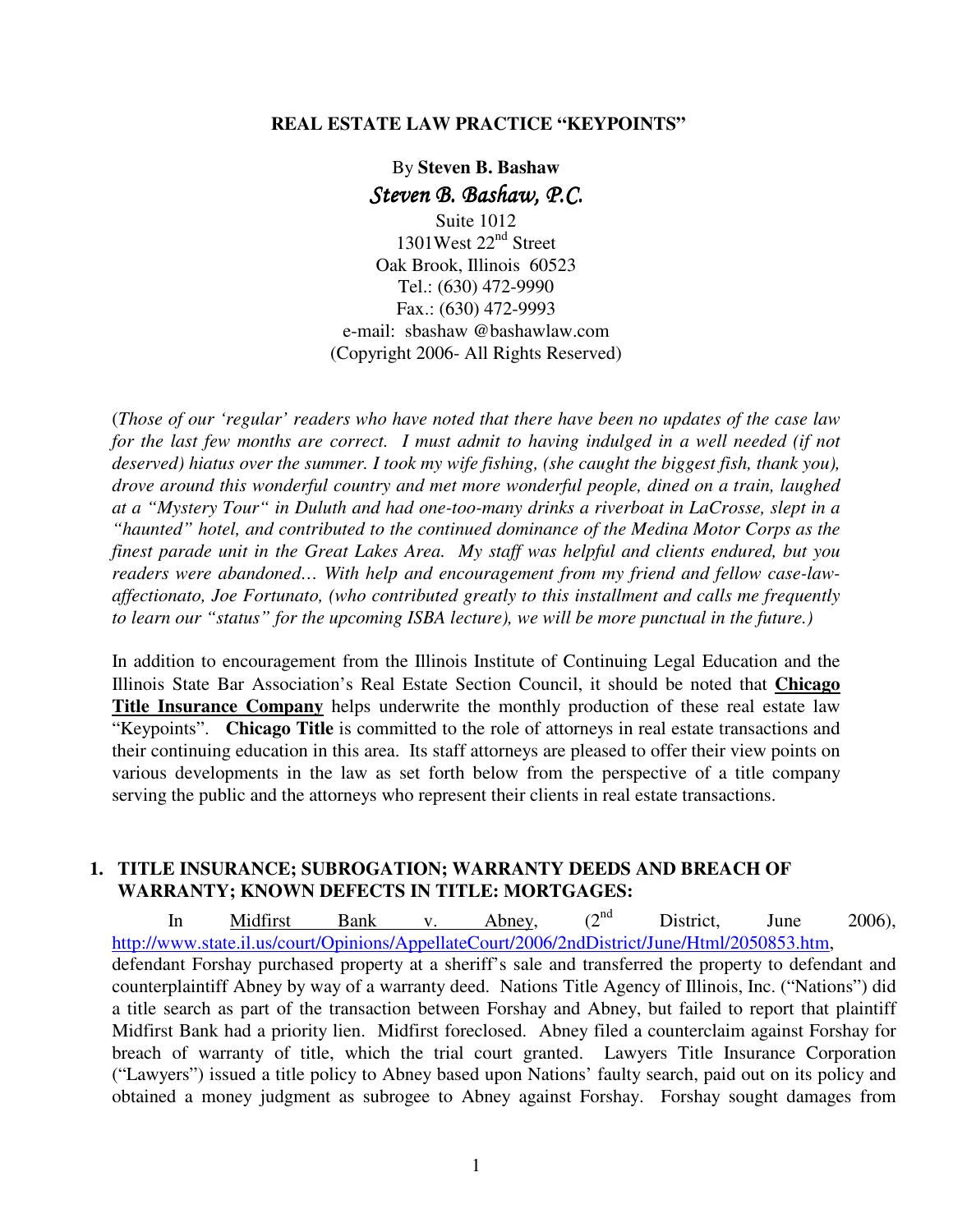#### **REAL ESTATE LAW PRACTICE "KEYPOINTS"**

# By **Steven B. Bashaw** Steven B. Bashaw, P.C.

Suite 1012 1301West 22<sup>nd</sup> Street Oak Brook, Illinois 60523 Tel.: (630) 472-9990 Fax.: (630) 472-9993 e-mail: sbashaw @bashawlaw.com (Copyright 2006- All Rights Reserved)

(*Those of our 'regular' readers who have noted that there have been no updates of the case law for the last few months are correct. I must admit to having indulged in a well needed (if not deserved) hiatus over the summer. I took my wife fishing, (she caught the biggest fish, thank you), drove around this wonderful country and met more wonderful people, dined on a train, laughed at a "Mystery Tour" in Duluth and had one-too-many drinks a riverboat in LaCrosse, slept in a "haunted" hotel, and contributed to the continued dominance of the Medina Motor Corps as the finest parade unit in the Great Lakes Area. My staff was helpful and clients endured, but you readers were abandoned… With help and encouragement from my friend and fellow case-lawaffectionato, Joe Fortunato, (who contributed greatly to this installment and calls me frequently to learn our "status" for the upcoming ISBA lecture), we will be more punctual in the future.)*

In addition to encouragement from the Illinois Institute of Continuing Legal Education and the Illinois State Bar Association's Real Estate Section Council, it should be noted that **Chicago Title Insurance Company** helps underwrite the monthly production of these real estate law "Keypoints". **Chicago Title** is committed to the role of attorneys in real estate transactions and their continuing education in this area. Its staff attorneys are pleased to offer their view points on various developments in the law as set forth below from the perspective of a title company serving the public and the attorneys who represent their clients in real estate transactions.

### **1. TITLE INSURANCE; SUBROGATION; WARRANTY DEEDS AND BREACH OF WARRANTY; KNOWN DEFECTS IN TITLE: MORTGAGES:**

In Midfirst Bank v. Abney,  $(2^{nd}$  District, June 2006), http://www.state.il.us/court/Opinions/AppellateCourt/2006/2ndDistrict/June/Html/2050853.htm, defendant Forshay purchased property at a sheriff's sale and transferred the property to defendant and counterplaintiff Abney by way of a warranty deed. Nations Title Agency of Illinois, Inc. ("Nations") did a title search as part of the transaction between Forshay and Abney, but failed to report that plaintiff Midfirst Bank had a priority lien. Midfirst foreclosed. Abney filed a counterclaim against Forshay for breach of warranty of title, which the trial court granted. Lawyers Title Insurance Corporation ("Lawyers") issued a title policy to Abney based upon Nations' faulty search, paid out on its policy and obtained a money judgment as subrogee to Abney against Forshay. Forshay sought damages from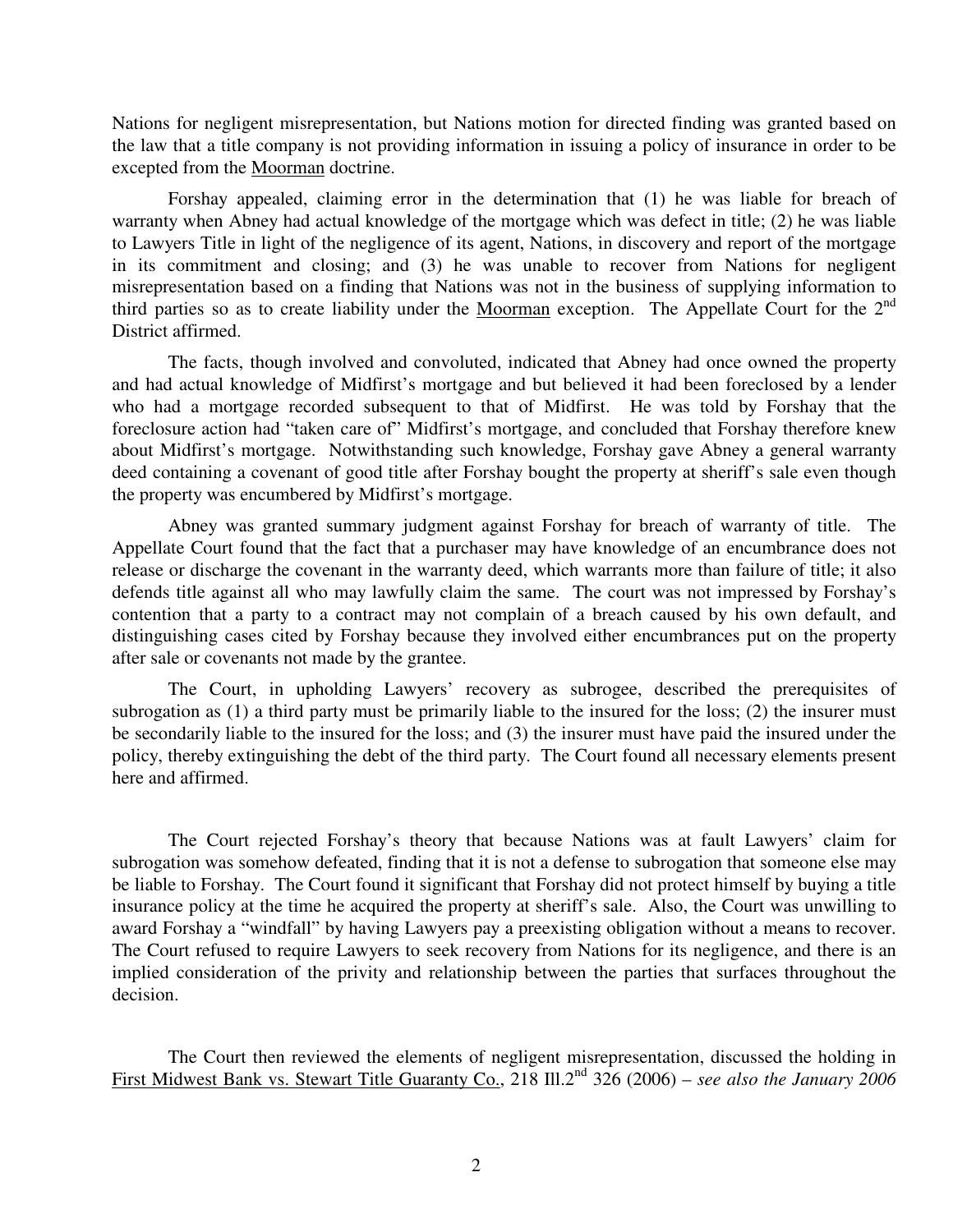Nations for negligent misrepresentation, but Nations motion for directed finding was granted based on the law that a title company is not providing information in issuing a policy of insurance in order to be excepted from the Moorman doctrine.

Forshay appealed, claiming error in the determination that (1) he was liable for breach of warranty when Abney had actual knowledge of the mortgage which was defect in title; (2) he was liable to Lawyers Title in light of the negligence of its agent, Nations, in discovery and report of the mortgage in its commitment and closing; and (3) he was unable to recover from Nations for negligent misrepresentation based on a finding that Nations was not in the business of supplying information to third parties so as to create liability under the Moorman exception. The Appellate Court for the  $2<sup>nd</sup>$ District affirmed.

The facts, though involved and convoluted, indicated that Abney had once owned the property and had actual knowledge of Midfirst's mortgage and but believed it had been foreclosed by a lender who had a mortgage recorded subsequent to that of Midfirst. He was told by Forshay that the foreclosure action had "taken care of" Midfirst's mortgage, and concluded that Forshay therefore knew about Midfirst's mortgage. Notwithstanding such knowledge, Forshay gave Abney a general warranty deed containing a covenant of good title after Forshay bought the property at sheriff's sale even though the property was encumbered by Midfirst's mortgage.

Abney was granted summary judgment against Forshay for breach of warranty of title. The Appellate Court found that the fact that a purchaser may have knowledge of an encumbrance does not release or discharge the covenant in the warranty deed, which warrants more than failure of title; it also defends title against all who may lawfully claim the same. The court was not impressed by Forshay's contention that a party to a contract may not complain of a breach caused by his own default, and distinguishing cases cited by Forshay because they involved either encumbrances put on the property after sale or covenants not made by the grantee.

The Court, in upholding Lawyers' recovery as subrogee, described the prerequisites of subrogation as (1) a third party must be primarily liable to the insured for the loss; (2) the insurer must be secondarily liable to the insured for the loss; and (3) the insurer must have paid the insured under the policy, thereby extinguishing the debt of the third party. The Court found all necessary elements present here and affirmed.

The Court rejected Forshay's theory that because Nations was at fault Lawyers' claim for subrogation was somehow defeated, finding that it is not a defense to subrogation that someone else may be liable to Forshay. The Court found it significant that Forshay did not protect himself by buying a title insurance policy at the time he acquired the property at sheriff's sale. Also, the Court was unwilling to award Forshay a "windfall" by having Lawyers pay a preexisting obligation without a means to recover. The Court refused to require Lawyers to seek recovery from Nations for its negligence, and there is an implied consideration of the privity and relationship between the parties that surfaces throughout the decision.

The Court then reviewed the elements of negligent misrepresentation, discussed the holding in First Midwest Bank vs. Stewart Title Guaranty Co., 218 Ill.2nd 326 (2006) – *see also the January 2006*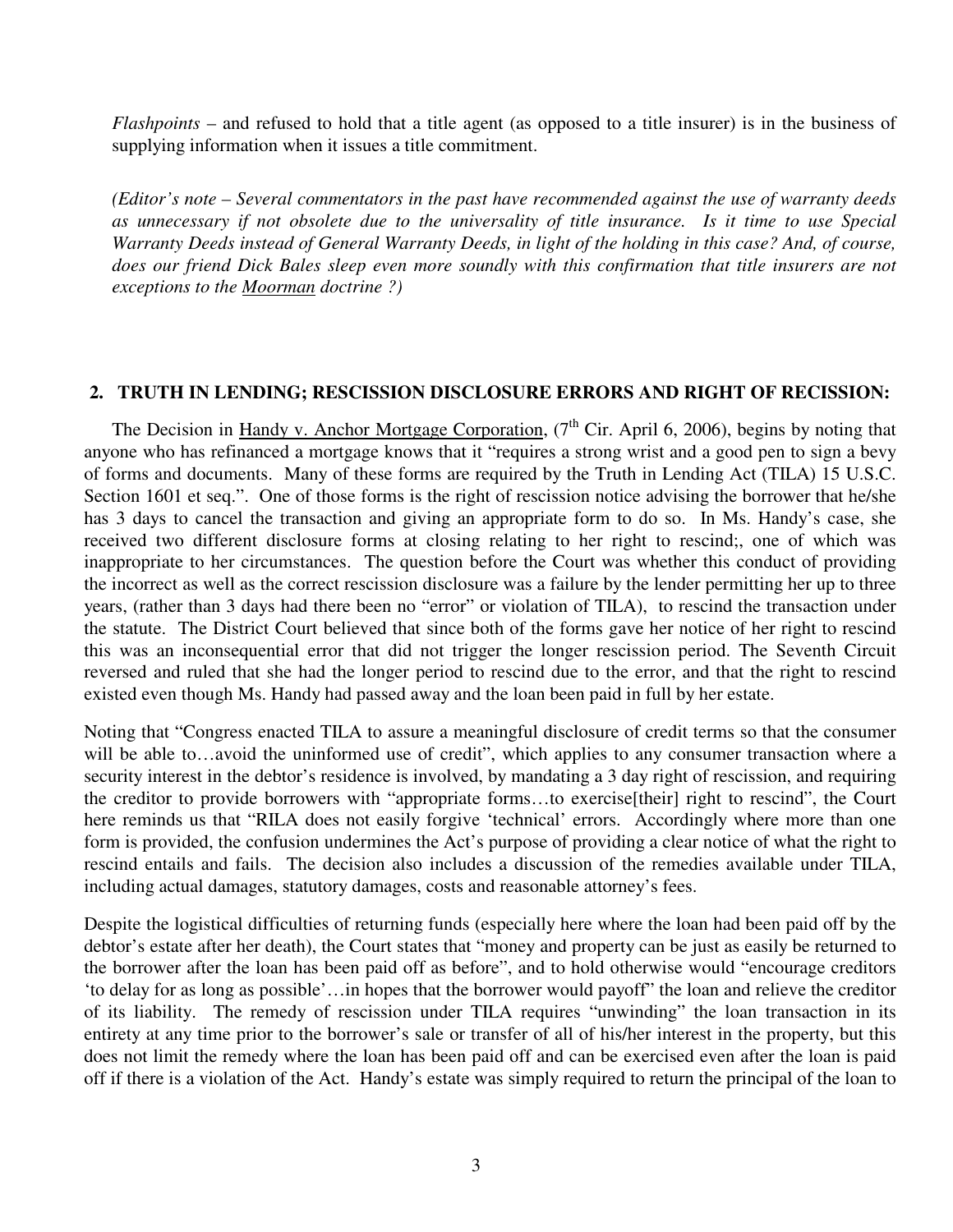*Flashpoints* – and refused to hold that a title agent (as opposed to a title insurer) is in the business of supplying information when it issues a title commitment.

*(Editor's note – Several commentators in the past have recommended against the use of warranty deeds as unnecessary if not obsolete due to the universality of title insurance. Is it time to use Special Warranty Deeds instead of General Warranty Deeds, in light of the holding in this case? And, of course, does our friend Dick Bales sleep even more soundly with this confirmation that title insurers are not exceptions to the Moorman doctrine ?)* 

### **2. TRUTH IN LENDING; RESCISSION DISCLOSURE ERRORS AND RIGHT OF RECISSION:**

The Decision in Handy v. Anchor Mortgage Corporation,  $7<sup>th</sup>$  Cir. April 6, 2006), begins by noting that anyone who has refinanced a mortgage knows that it "requires a strong wrist and a good pen to sign a bevy of forms and documents. Many of these forms are required by the Truth in Lending Act (TILA) 15 U.S.C. Section 1601 et seq.". One of those forms is the right of rescission notice advising the borrower that he/she has 3 days to cancel the transaction and giving an appropriate form to do so. In Ms. Handy's case, she received two different disclosure forms at closing relating to her right to rescind;, one of which was inappropriate to her circumstances. The question before the Court was whether this conduct of providing the incorrect as well as the correct rescission disclosure was a failure by the lender permitting her up to three years, (rather than 3 days had there been no "error" or violation of TILA), to rescind the transaction under the statute. The District Court believed that since both of the forms gave her notice of her right to rescind this was an inconsequential error that did not trigger the longer rescission period. The Seventh Circuit reversed and ruled that she had the longer period to rescind due to the error, and that the right to rescind existed even though Ms. Handy had passed away and the loan been paid in full by her estate.

Noting that "Congress enacted TILA to assure a meaningful disclosure of credit terms so that the consumer will be able to…avoid the uninformed use of credit", which applies to any consumer transaction where a security interest in the debtor's residence is involved, by mandating a 3 day right of rescission, and requiring the creditor to provide borrowers with "appropriate forms…to exercise[their] right to rescind", the Court here reminds us that "RILA does not easily forgive 'technical' errors. Accordingly where more than one form is provided, the confusion undermines the Act's purpose of providing a clear notice of what the right to rescind entails and fails. The decision also includes a discussion of the remedies available under TILA, including actual damages, statutory damages, costs and reasonable attorney's fees.

Despite the logistical difficulties of returning funds (especially here where the loan had been paid off by the debtor's estate after her death), the Court states that "money and property can be just as easily be returned to the borrower after the loan has been paid off as before", and to hold otherwise would "encourage creditors 'to delay for as long as possible'…in hopes that the borrower would payoff" the loan and relieve the creditor of its liability. The remedy of rescission under TILA requires "unwinding" the loan transaction in its entirety at any time prior to the borrower's sale or transfer of all of his/her interest in the property, but this does not limit the remedy where the loan has been paid off and can be exercised even after the loan is paid off if there is a violation of the Act. Handy's estate was simply required to return the principal of the loan to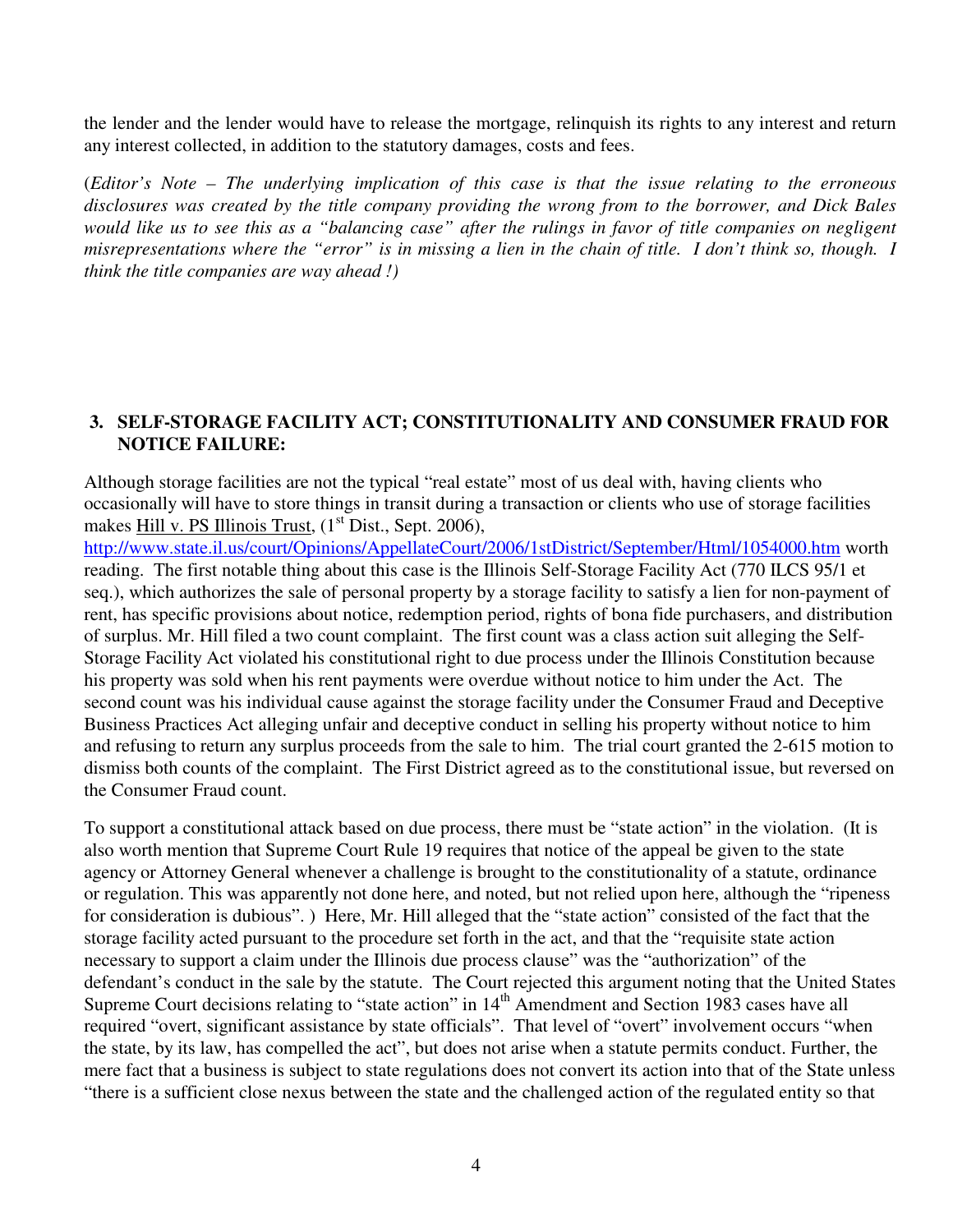the lender and the lender would have to release the mortgage, relinquish its rights to any interest and return any interest collected, in addition to the statutory damages, costs and fees.

(*Editor's Note – The underlying implication of this case is that the issue relating to the erroneous disclosures was created by the title company providing the wrong from to the borrower, and Dick Bales would like us to see this as a "balancing case" after the rulings in favor of title companies on negligent misrepresentations where the "error" is in missing a lien in the chain of title. I don't think so, though. I think the title companies are way ahead !)* 

# **3. SELF-STORAGE FACILITY ACT; CONSTITUTIONALITY AND CONSUMER FRAUD FOR NOTICE FAILURE:**

Although storage facilities are not the typical "real estate" most of us deal with, having clients who occasionally will have to store things in transit during a transaction or clients who use of storage facilities makes Hill v. PS Illinois Trust, (1<sup>st</sup> Dist., Sept. 2006),

http://www.state.il.us/court/Opinions/AppellateCourt/2006/1stDistrict/September/Html/1054000.htm worth reading. The first notable thing about this case is the Illinois Self-Storage Facility Act (770 ILCS 95/1 et seq.), which authorizes the sale of personal property by a storage facility to satisfy a lien for non-payment of rent, has specific provisions about notice, redemption period, rights of bona fide purchasers, and distribution of surplus. Mr. Hill filed a two count complaint. The first count was a class action suit alleging the Self-Storage Facility Act violated his constitutional right to due process under the Illinois Constitution because his property was sold when his rent payments were overdue without notice to him under the Act. The second count was his individual cause against the storage facility under the Consumer Fraud and Deceptive Business Practices Act alleging unfair and deceptive conduct in selling his property without notice to him and refusing to return any surplus proceeds from the sale to him. The trial court granted the 2-615 motion to dismiss both counts of the complaint. The First District agreed as to the constitutional issue, but reversed on the Consumer Fraud count.

To support a constitutional attack based on due process, there must be "state action" in the violation. (It is also worth mention that Supreme Court Rule 19 requires that notice of the appeal be given to the state agency or Attorney General whenever a challenge is brought to the constitutionality of a statute, ordinance or regulation. This was apparently not done here, and noted, but not relied upon here, although the "ripeness for consideration is dubious". ) Here, Mr. Hill alleged that the "state action" consisted of the fact that the storage facility acted pursuant to the procedure set forth in the act, and that the "requisite state action necessary to support a claim under the Illinois due process clause" was the "authorization" of the defendant's conduct in the sale by the statute. The Court rejected this argument noting that the United States Supreme Court decisions relating to "state action" in 14<sup>th</sup> Amendment and Section 1983 cases have all required "overt, significant assistance by state officials". That level of "overt" involvement occurs "when the state, by its law, has compelled the act", but does not arise when a statute permits conduct. Further, the mere fact that a business is subject to state regulations does not convert its action into that of the State unless "there is a sufficient close nexus between the state and the challenged action of the regulated entity so that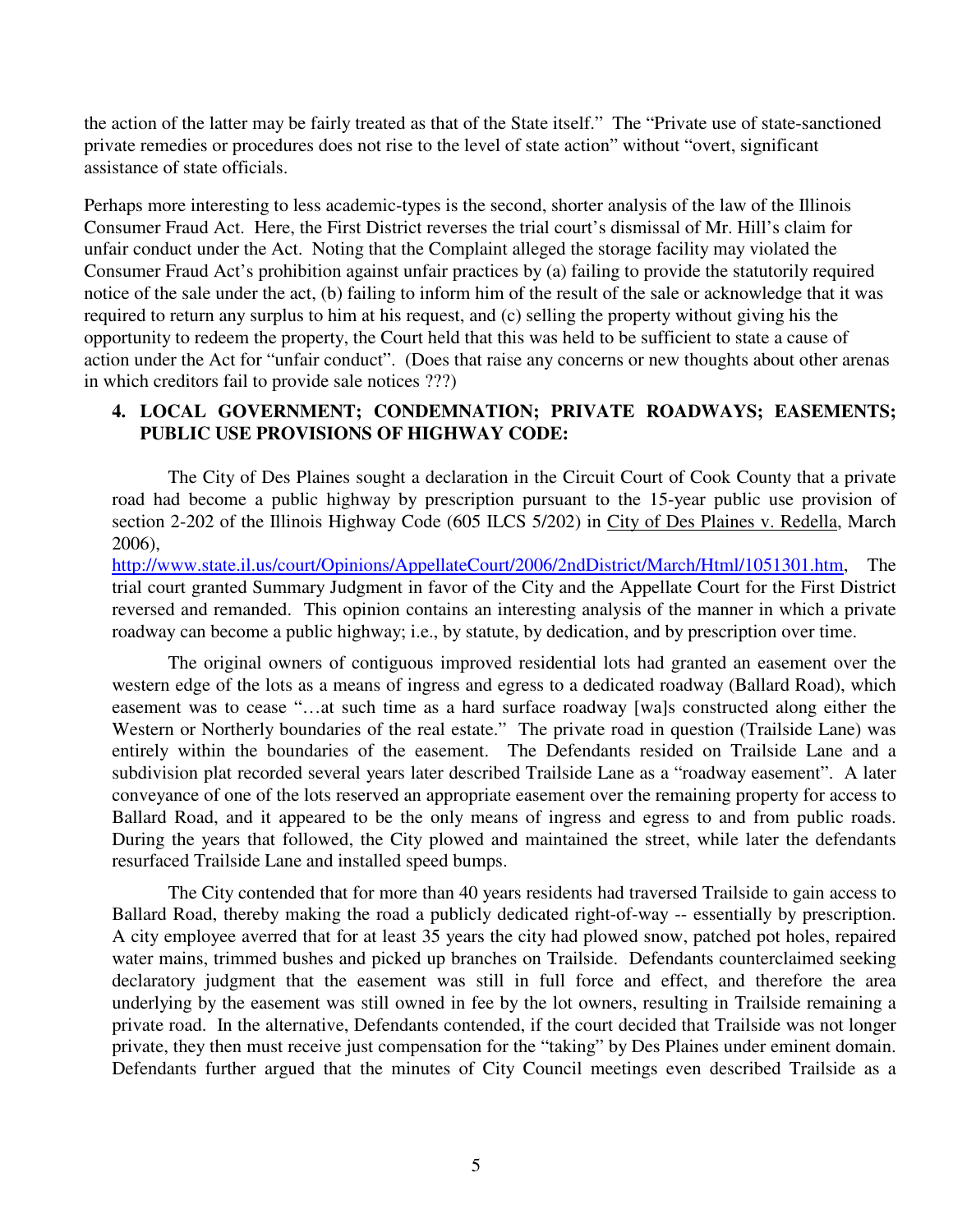the action of the latter may be fairly treated as that of the State itself." The "Private use of state-sanctioned private remedies or procedures does not rise to the level of state action" without "overt, significant assistance of state officials.

Perhaps more interesting to less academic-types is the second, shorter analysis of the law of the Illinois Consumer Fraud Act. Here, the First District reverses the trial court's dismissal of Mr. Hill's claim for unfair conduct under the Act. Noting that the Complaint alleged the storage facility may violated the Consumer Fraud Act's prohibition against unfair practices by (a) failing to provide the statutorily required notice of the sale under the act, (b) failing to inform him of the result of the sale or acknowledge that it was required to return any surplus to him at his request, and (c) selling the property without giving his the opportunity to redeem the property, the Court held that this was held to be sufficient to state a cause of action under the Act for "unfair conduct". (Does that raise any concerns or new thoughts about other arenas in which creditors fail to provide sale notices ???)

# **4. LOCAL GOVERNMENT; CONDEMNATION; PRIVATE ROADWAYS; EASEMENTS; PUBLIC USE PROVISIONS OF HIGHWAY CODE:**

The City of Des Plaines sought a declaration in the Circuit Court of Cook County that a private road had become a public highway by prescription pursuant to the 15-year public use provision of section 2-202 of the Illinois Highway Code (605 ILCS 5/202) in City of Des Plaines v. Redella, March 2006),

http://www.state.il.us/court/Opinions/AppellateCourt/2006/2ndDistrict/March/Html/1051301.htm, The trial court granted Summary Judgment in favor of the City and the Appellate Court for the First District reversed and remanded. This opinion contains an interesting analysis of the manner in which a private roadway can become a public highway; i.e., by statute, by dedication, and by prescription over time.

The original owners of contiguous improved residential lots had granted an easement over the western edge of the lots as a means of ingress and egress to a dedicated roadway (Ballard Road), which easement was to cease "…at such time as a hard surface roadway [wa]s constructed along either the Western or Northerly boundaries of the real estate." The private road in question (Trailside Lane) was entirely within the boundaries of the easement. The Defendants resided on Trailside Lane and a subdivision plat recorded several years later described Trailside Lane as a "roadway easement". A later conveyance of one of the lots reserved an appropriate easement over the remaining property for access to Ballard Road, and it appeared to be the only means of ingress and egress to and from public roads. During the years that followed, the City plowed and maintained the street, while later the defendants resurfaced Trailside Lane and installed speed bumps.

The City contended that for more than 40 years residents had traversed Trailside to gain access to Ballard Road, thereby making the road a publicly dedicated right-of-way -- essentially by prescription. A city employee averred that for at least 35 years the city had plowed snow, patched pot holes, repaired water mains, trimmed bushes and picked up branches on Trailside. Defendants counterclaimed seeking declaratory judgment that the easement was still in full force and effect, and therefore the area underlying by the easement was still owned in fee by the lot owners, resulting in Trailside remaining a private road. In the alternative, Defendants contended, if the court decided that Trailside was not longer private, they then must receive just compensation for the "taking" by Des Plaines under eminent domain. Defendants further argued that the minutes of City Council meetings even described Trailside as a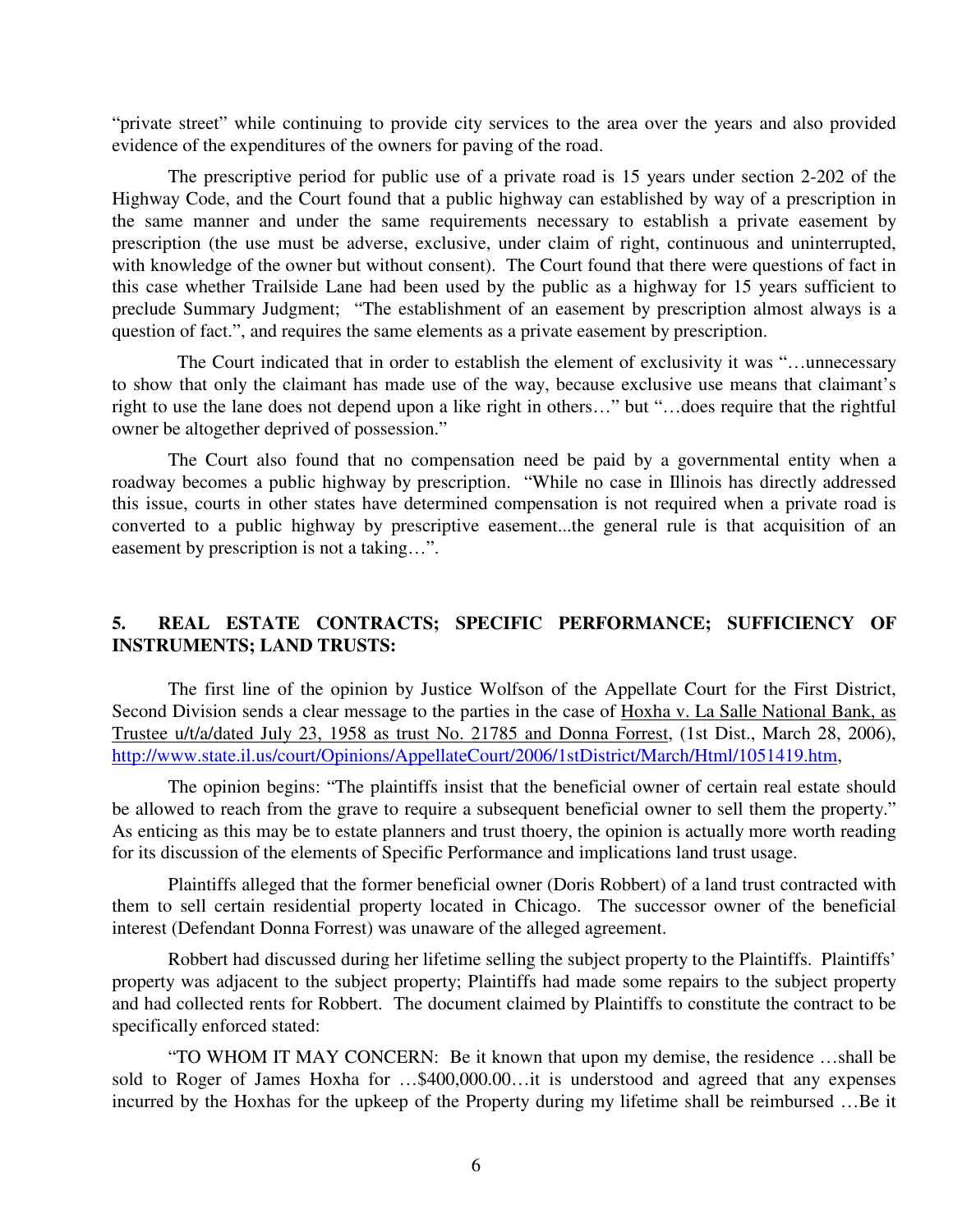"private street" while continuing to provide city services to the area over the years and also provided evidence of the expenditures of the owners for paving of the road.

The prescriptive period for public use of a private road is 15 years under section 2-202 of the Highway Code, and the Court found that a public highway can established by way of a prescription in the same manner and under the same requirements necessary to establish a private easement by prescription (the use must be adverse, exclusive, under claim of right, continuous and uninterrupted, with knowledge of the owner but without consent). The Court found that there were questions of fact in this case whether Trailside Lane had been used by the public as a highway for 15 years sufficient to preclude Summary Judgment; "The establishment of an easement by prescription almost always is a question of fact.", and requires the same elements as a private easement by prescription.

 The Court indicated that in order to establish the element of exclusivity it was "…unnecessary to show that only the claimant has made use of the way, because exclusive use means that claimant's right to use the lane does not depend upon a like right in others…" but "…does require that the rightful owner be altogether deprived of possession."

The Court also found that no compensation need be paid by a governmental entity when a roadway becomes a public highway by prescription. "While no case in Illinois has directly addressed this issue, courts in other states have determined compensation is not required when a private road is converted to a public highway by prescriptive easement...the general rule is that acquisition of an easement by prescription is not a taking…".

# **5. REAL ESTATE CONTRACTS; SPECIFIC PERFORMANCE; SUFFICIENCY OF INSTRUMENTS; LAND TRUSTS:**

The first line of the opinion by Justice Wolfson of the Appellate Court for the First District, Second Division sends a clear message to the parties in the case of Hoxha v. La Salle National Bank, as Trustee u/t/a/dated July 23, 1958 as trust No. 21785 and Donna Forrest, (1st Dist., March 28, 2006), http://www.state.il.us/court/Opinions/AppellateCourt/2006/1stDistrict/March/Html/1051419.htm,

The opinion begins: "The plaintiffs insist that the beneficial owner of certain real estate should be allowed to reach from the grave to require a subsequent beneficial owner to sell them the property." As enticing as this may be to estate planners and trust thoery, the opinion is actually more worth reading for its discussion of the elements of Specific Performance and implications land trust usage.

Plaintiffs alleged that the former beneficial owner (Doris Robbert) of a land trust contracted with them to sell certain residential property located in Chicago. The successor owner of the beneficial interest (Defendant Donna Forrest) was unaware of the alleged agreement.

Robbert had discussed during her lifetime selling the subject property to the Plaintiffs. Plaintiffs' property was adjacent to the subject property; Plaintiffs had made some repairs to the subject property and had collected rents for Robbert. The document claimed by Plaintiffs to constitute the contract to be specifically enforced stated:

"TO WHOM IT MAY CONCERN: Be it known that upon my demise, the residence …shall be sold to Roger of James Hoxha for …\$400,000.00…it is understood and agreed that any expenses incurred by the Hoxhas for the upkeep of the Property during my lifetime shall be reimbursed …Be it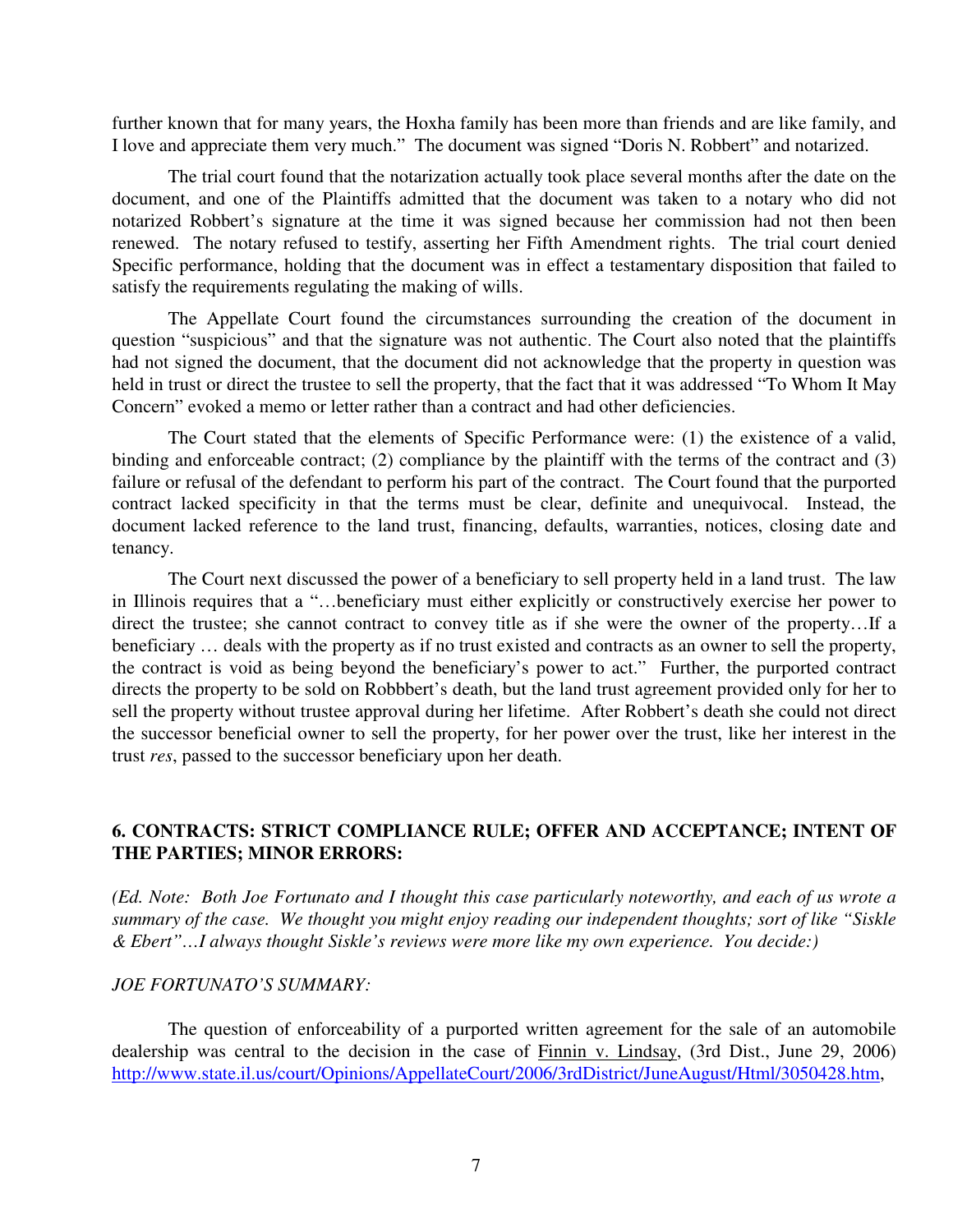further known that for many years, the Hoxha family has been more than friends and are like family, and I love and appreciate them very much." The document was signed "Doris N. Robbert" and notarized.

The trial court found that the notarization actually took place several months after the date on the document, and one of the Plaintiffs admitted that the document was taken to a notary who did not notarized Robbert's signature at the time it was signed because her commission had not then been renewed. The notary refused to testify, asserting her Fifth Amendment rights. The trial court denied Specific performance, holding that the document was in effect a testamentary disposition that failed to satisfy the requirements regulating the making of wills.

The Appellate Court found the circumstances surrounding the creation of the document in question "suspicious" and that the signature was not authentic. The Court also noted that the plaintiffs had not signed the document, that the document did not acknowledge that the property in question was held in trust or direct the trustee to sell the property, that the fact that it was addressed "To Whom It May Concern" evoked a memo or letter rather than a contract and had other deficiencies.

The Court stated that the elements of Specific Performance were: (1) the existence of a valid, binding and enforceable contract; (2) compliance by the plaintiff with the terms of the contract and (3) failure or refusal of the defendant to perform his part of the contract. The Court found that the purported contract lacked specificity in that the terms must be clear, definite and unequivocal. Instead, the document lacked reference to the land trust, financing, defaults, warranties, notices, closing date and tenancy.

The Court next discussed the power of a beneficiary to sell property held in a land trust. The law in Illinois requires that a "…beneficiary must either explicitly or constructively exercise her power to direct the trustee; she cannot contract to convey title as if she were the owner of the property…If a beneficiary … deals with the property as if no trust existed and contracts as an owner to sell the property, the contract is void as being beyond the beneficiary's power to act." Further, the purported contract directs the property to be sold on Robbbert's death, but the land trust agreement provided only for her to sell the property without trustee approval during her lifetime. After Robbert's death she could not direct the successor beneficial owner to sell the property, for her power over the trust, like her interest in the trust *res*, passed to the successor beneficiary upon her death.

## **6. CONTRACTS: STRICT COMPLIANCE RULE; OFFER AND ACCEPTANCE; INTENT OF THE PARTIES; MINOR ERRORS:**

*(Ed. Note: Both Joe Fortunato and I thought this case particularly noteworthy, and each of us wrote a summary of the case. We thought you might enjoy reading our independent thoughts; sort of like "Siskle & Ebert"…I always thought Siskle's reviews were more like my own experience. You decide:)* 

#### *JOE FORTUNATO'S SUMMARY:*

The question of enforceability of a purported written agreement for the sale of an automobile dealership was central to the decision in the case of Finnin v. Lindsay, (3rd Dist., June 29, 2006) http://www.state.il.us/court/Opinions/AppellateCourt/2006/3rdDistrict/JuneAugust/Html/3050428.htm,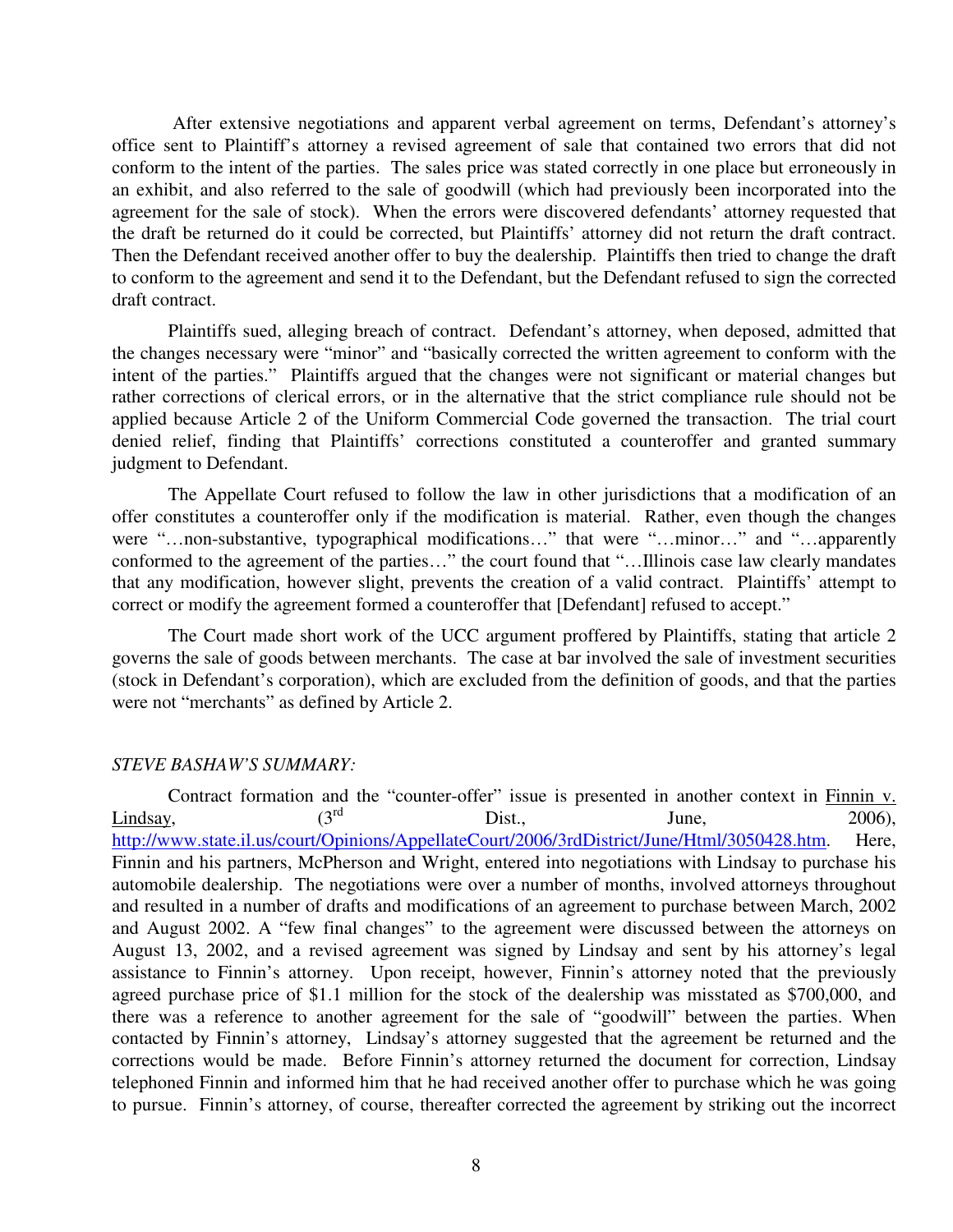After extensive negotiations and apparent verbal agreement on terms, Defendant's attorney's office sent to Plaintiff's attorney a revised agreement of sale that contained two errors that did not conform to the intent of the parties. The sales price was stated correctly in one place but erroneously in an exhibit, and also referred to the sale of goodwill (which had previously been incorporated into the agreement for the sale of stock). When the errors were discovered defendants' attorney requested that the draft be returned do it could be corrected, but Plaintiffs' attorney did not return the draft contract. Then the Defendant received another offer to buy the dealership. Plaintiffs then tried to change the draft to conform to the agreement and send it to the Defendant, but the Defendant refused to sign the corrected draft contract.

Plaintiffs sued, alleging breach of contract. Defendant's attorney, when deposed, admitted that the changes necessary were "minor" and "basically corrected the written agreement to conform with the intent of the parties." Plaintiffs argued that the changes were not significant or material changes but rather corrections of clerical errors, or in the alternative that the strict compliance rule should not be applied because Article 2 of the Uniform Commercial Code governed the transaction. The trial court denied relief, finding that Plaintiffs' corrections constituted a counteroffer and granted summary judgment to Defendant.

The Appellate Court refused to follow the law in other jurisdictions that a modification of an offer constitutes a counteroffer only if the modification is material. Rather, even though the changes were "…non-substantive, typographical modifications..." that were "…minor..." and "…apparently conformed to the agreement of the parties…" the court found that "…Illinois case law clearly mandates that any modification, however slight, prevents the creation of a valid contract. Plaintiffs' attempt to correct or modify the agreement formed a counteroffer that [Defendant] refused to accept."

The Court made short work of the UCC argument proffered by Plaintiffs, stating that article 2 governs the sale of goods between merchants. The case at bar involved the sale of investment securities (stock in Defendant's corporation), which are excluded from the definition of goods, and that the parties were not "merchants" as defined by Article 2.

#### *STEVE BASHAW'S SUMMARY:*

Contract formation and the "counter-offer" issue is presented in another context in  $\frac{\text{Finnin } v}{2006}$ .<br>V.  $\frac{\text{Lindsay}}{\text{Lindsay}}$ ,  $(3^{\text{rd}} \quad \text{Dist.}, \quad \text{June}, \quad 2006)$ , http://www.state.il.us/court/Opinions/AppellateCourt/2006/3rdDistrict/June/Html/3050428.htm. Here, Finnin and his partners, McPherson and Wright, entered into negotiations with Lindsay to purchase his automobile dealership. The negotiations were over a number of months, involved attorneys throughout and resulted in a number of drafts and modifications of an agreement to purchase between March, 2002 and August 2002. A "few final changes" to the agreement were discussed between the attorneys on August 13, 2002, and a revised agreement was signed by Lindsay and sent by his attorney's legal assistance to Finnin's attorney. Upon receipt, however, Finnin's attorney noted that the previously agreed purchase price of \$1.1 million for the stock of the dealership was misstated as \$700,000, and there was a reference to another agreement for the sale of "goodwill" between the parties. When contacted by Finnin's attorney, Lindsay's attorney suggested that the agreement be returned and the corrections would be made. Before Finnin's attorney returned the document for correction, Lindsay telephoned Finnin and informed him that he had received another offer to purchase which he was going to pursue. Finnin's attorney, of course, thereafter corrected the agreement by striking out the incorrect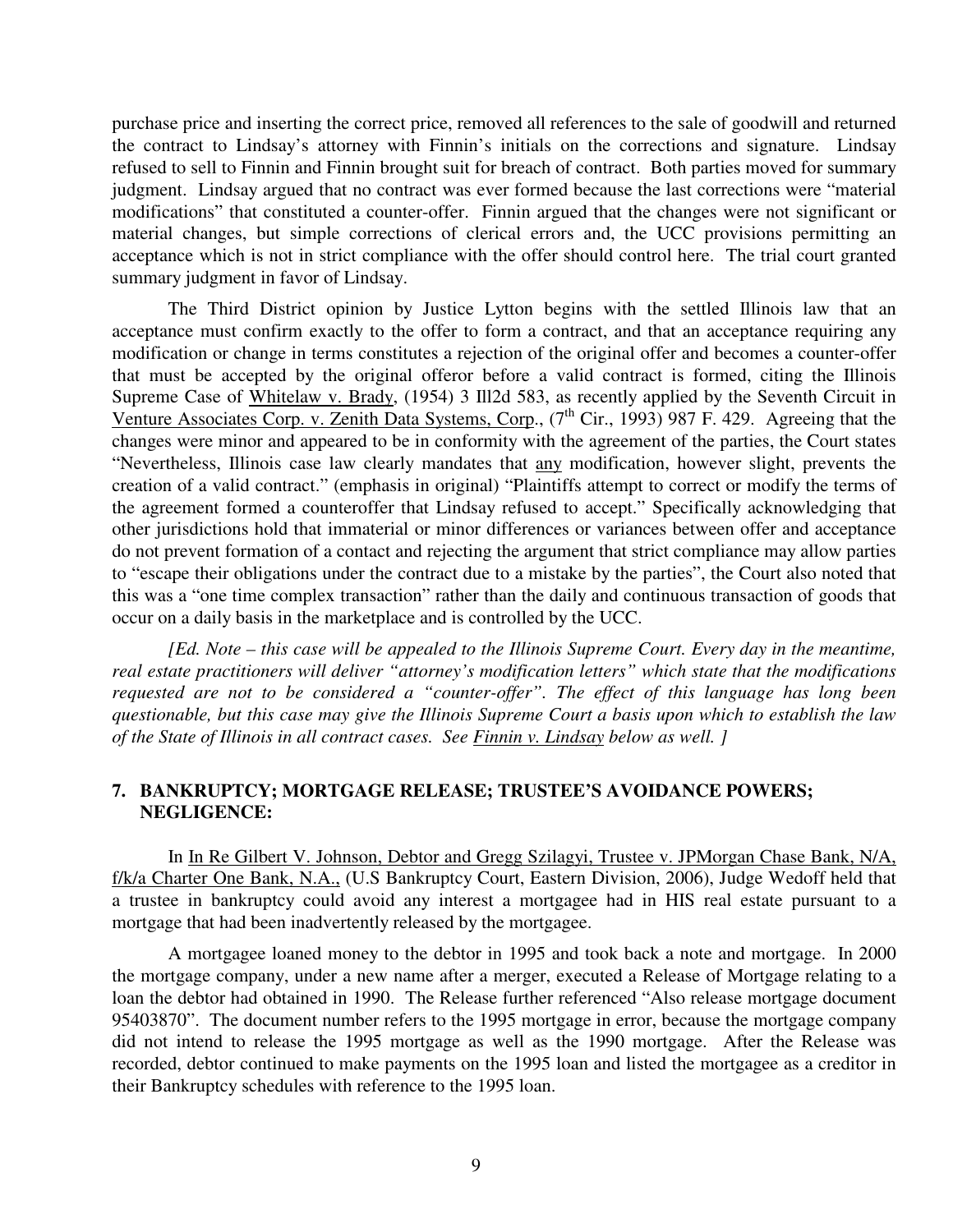purchase price and inserting the correct price, removed all references to the sale of goodwill and returned the contract to Lindsay's attorney with Finnin's initials on the corrections and signature. Lindsay refused to sell to Finnin and Finnin brought suit for breach of contract. Both parties moved for summary judgment. Lindsay argued that no contract was ever formed because the last corrections were "material modifications" that constituted a counter-offer. Finnin argued that the changes were not significant or material changes, but simple corrections of clerical errors and, the UCC provisions permitting an acceptance which is not in strict compliance with the offer should control here. The trial court granted summary judgment in favor of Lindsay.

The Third District opinion by Justice Lytton begins with the settled Illinois law that an acceptance must confirm exactly to the offer to form a contract, and that an acceptance requiring any modification or change in terms constitutes a rejection of the original offer and becomes a counter-offer that must be accepted by the original offeror before a valid contract is formed, citing the Illinois Supreme Case of Whitelaw v. Brady, (1954) 3 Ill2d 583, as recently applied by the Seventh Circuit in Venture Associates Corp. v. Zenith Data Systems, Corp., (7<sup>th</sup> Cir., 1993) 987 F. 429. Agreeing that the changes were minor and appeared to be in conformity with the agreement of the parties, the Court states "Nevertheless, Illinois case law clearly mandates that any modification, however slight, prevents the creation of a valid contract." (emphasis in original) "Plaintiffs attempt to correct or modify the terms of the agreement formed a counteroffer that Lindsay refused to accept." Specifically acknowledging that other jurisdictions hold that immaterial or minor differences or variances between offer and acceptance do not prevent formation of a contact and rejecting the argument that strict compliance may allow parties to "escape their obligations under the contract due to a mistake by the parties", the Court also noted that this was a "one time complex transaction" rather than the daily and continuous transaction of goods that occur on a daily basis in the marketplace and is controlled by the UCC.

*[Ed. Note – this case will be appealed to the Illinois Supreme Court. Every day in the meantime, real estate practitioners will deliver "attorney's modification letters" which state that the modifications requested are not to be considered a "counter-offer". The effect of this language has long been questionable, but this case may give the Illinois Supreme Court a basis upon which to establish the law of the State of Illinois in all contract cases. See Finnin v. Lindsay below as well. ]* 

## **7. BANKRUPTCY; MORTGAGE RELEASE; TRUSTEE'S AVOIDANCE POWERS; NEGLIGENCE:**

In In Re Gilbert V. Johnson, Debtor and Gregg Szilagyi, Trustee v. JPMorgan Chase Bank, N/A, f/k/a Charter One Bank, N.A., (U.S Bankruptcy Court, Eastern Division, 2006), Judge Wedoff held that a trustee in bankruptcy could avoid any interest a mortgagee had in HIS real estate pursuant to a mortgage that had been inadvertently released by the mortgagee.

A mortgagee loaned money to the debtor in 1995 and took back a note and mortgage. In 2000 the mortgage company, under a new name after a merger, executed a Release of Mortgage relating to a loan the debtor had obtained in 1990. The Release further referenced "Also release mortgage document 95403870". The document number refers to the 1995 mortgage in error, because the mortgage company did not intend to release the 1995 mortgage as well as the 1990 mortgage. After the Release was recorded, debtor continued to make payments on the 1995 loan and listed the mortgagee as a creditor in their Bankruptcy schedules with reference to the 1995 loan.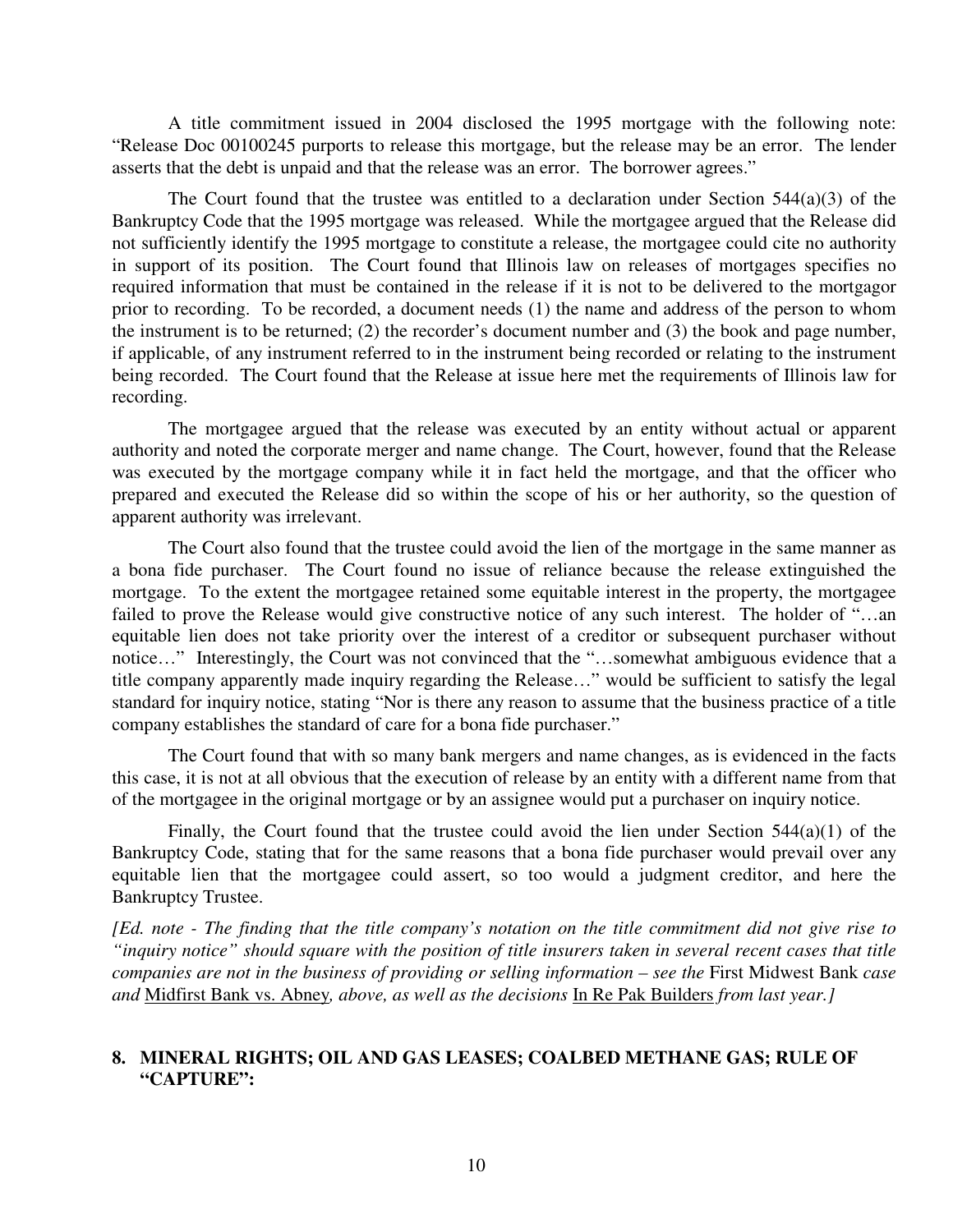A title commitment issued in 2004 disclosed the 1995 mortgage with the following note: "Release Doc 00100245 purports to release this mortgage, but the release may be an error. The lender asserts that the debt is unpaid and that the release was an error. The borrower agrees."

The Court found that the trustee was entitled to a declaration under Section  $544(a)(3)$  of the Bankruptcy Code that the 1995 mortgage was released. While the mortgagee argued that the Release did not sufficiently identify the 1995 mortgage to constitute a release, the mortgagee could cite no authority in support of its position. The Court found that Illinois law on releases of mortgages specifies no required information that must be contained in the release if it is not to be delivered to the mortgagor prior to recording. To be recorded, a document needs (1) the name and address of the person to whom the instrument is to be returned; (2) the recorder's document number and (3) the book and page number, if applicable, of any instrument referred to in the instrument being recorded or relating to the instrument being recorded. The Court found that the Release at issue here met the requirements of Illinois law for recording.

The mortgagee argued that the release was executed by an entity without actual or apparent authority and noted the corporate merger and name change. The Court, however, found that the Release was executed by the mortgage company while it in fact held the mortgage, and that the officer who prepared and executed the Release did so within the scope of his or her authority, so the question of apparent authority was irrelevant.

The Court also found that the trustee could avoid the lien of the mortgage in the same manner as a bona fide purchaser. The Court found no issue of reliance because the release extinguished the mortgage. To the extent the mortgagee retained some equitable interest in the property, the mortgagee failed to prove the Release would give constructive notice of any such interest. The holder of "...an equitable lien does not take priority over the interest of a creditor or subsequent purchaser without notice…" Interestingly, the Court was not convinced that the "…somewhat ambiguous evidence that a title company apparently made inquiry regarding the Release…" would be sufficient to satisfy the legal standard for inquiry notice, stating "Nor is there any reason to assume that the business practice of a title company establishes the standard of care for a bona fide purchaser."

The Court found that with so many bank mergers and name changes, as is evidenced in the facts this case, it is not at all obvious that the execution of release by an entity with a different name from that of the mortgagee in the original mortgage or by an assignee would put a purchaser on inquiry notice.

Finally, the Court found that the trustee could avoid the lien under Section  $544(a)(1)$  of the Bankruptcy Code, stating that for the same reasons that a bona fide purchaser would prevail over any equitable lien that the mortgagee could assert, so too would a judgment creditor, and here the Bankruptcy Trustee.

*[Ed. note - The finding that the title company's notation on the title commitment did not give rise to "inquiry notice" should square with the position of title insurers taken in several recent cases that title companies are not in the business of providing or selling information – see the* First Midwest Bank *case and* Midfirst Bank vs. Abney*, above, as well as the decisions* In Re Pak Builders *from last year.]* 

## **8. MINERAL RIGHTS; OIL AND GAS LEASES; COALBED METHANE GAS; RULE OF "CAPTURE":**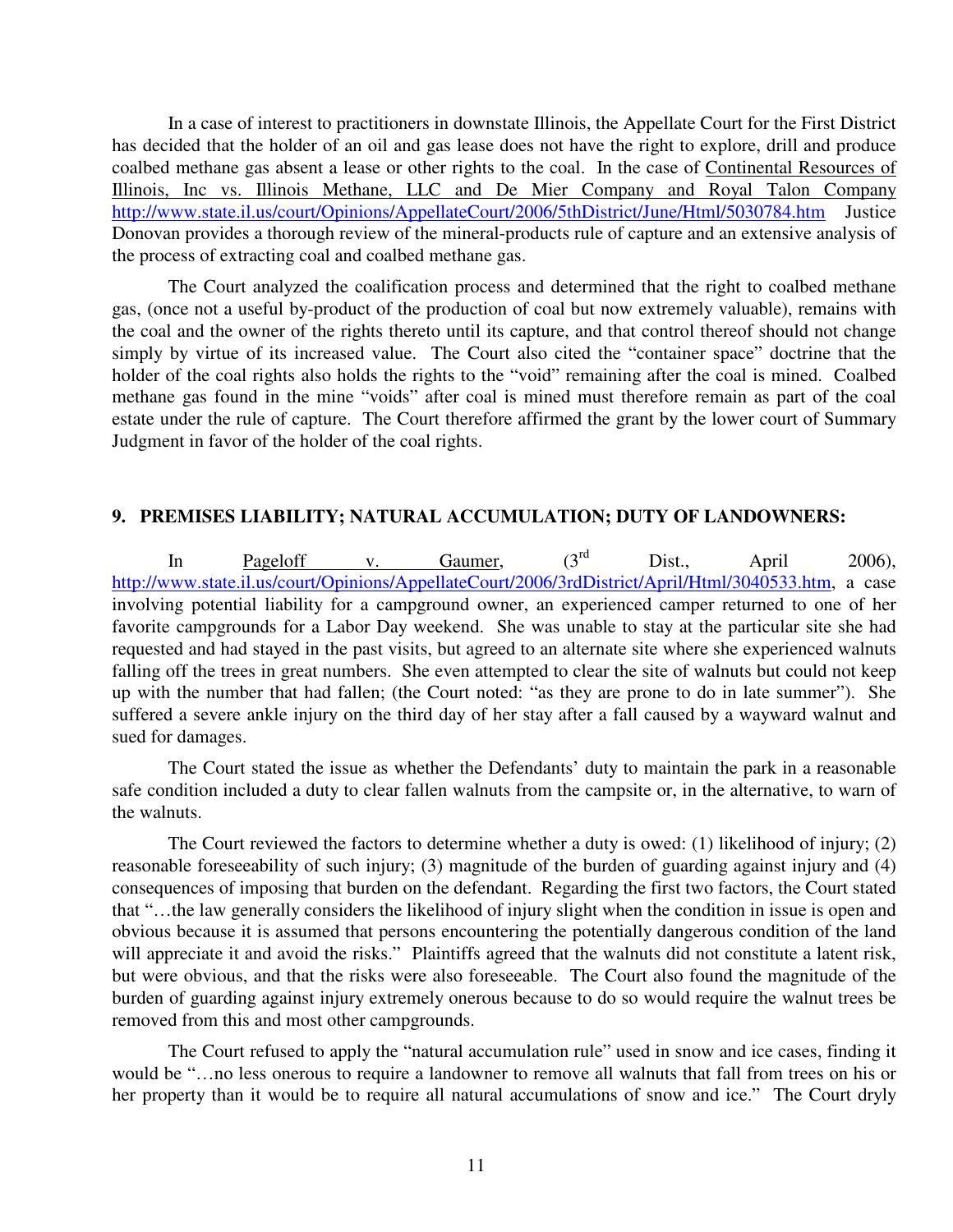In a case of interest to practitioners in downstate Illinois, the Appellate Court for the First District has decided that the holder of an oil and gas lease does not have the right to explore, drill and produce coalbed methane gas absent a lease or other rights to the coal. In the case of Continental Resources of Illinois, Inc vs. Illinois Methane, LLC and De Mier Company and Royal Talon Company http://www.state.il.us/court/Opinions/AppellateCourt/2006/5thDistrict/June/Html/5030784.htm Justice Donovan provides a thorough review of the mineral-products rule of capture and an extensive analysis of the process of extracting coal and coalbed methane gas.

The Court analyzed the coalification process and determined that the right to coalbed methane gas, (once not a useful by-product of the production of coal but now extremely valuable), remains with the coal and the owner of the rights thereto until its capture, and that control thereof should not change simply by virtue of its increased value. The Court also cited the "container space" doctrine that the holder of the coal rights also holds the rights to the "void" remaining after the coal is mined. Coalbed methane gas found in the mine "voids" after coal is mined must therefore remain as part of the coal estate under the rule of capture. The Court therefore affirmed the grant by the lower court of Summary Judgment in favor of the holder of the coal rights.

#### **9. PREMISES LIABILITY; NATURAL ACCUMULATION; DUTY OF LANDOWNERS:**

In Pageloff v. Gaumer,  $(3^{rd}$  Dist., April 2006), http://www.state.il.us/court/Opinions/AppellateCourt/2006/3rdDistrict/April/Html/3040533.htm, a case involving potential liability for a campground owner, an experienced camper returned to one of her favorite campgrounds for a Labor Day weekend. She was unable to stay at the particular site she had requested and had stayed in the past visits, but agreed to an alternate site where she experienced walnuts falling off the trees in great numbers. She even attempted to clear the site of walnuts but could not keep up with the number that had fallen; (the Court noted: "as they are prone to do in late summer"). She suffered a severe ankle injury on the third day of her stay after a fall caused by a wayward walnut and sued for damages.

The Court stated the issue as whether the Defendants' duty to maintain the park in a reasonable safe condition included a duty to clear fallen walnuts from the campsite or, in the alternative, to warn of the walnuts.

The Court reviewed the factors to determine whether a duty is owed: (1) likelihood of injury; (2) reasonable foreseeability of such injury; (3) magnitude of the burden of guarding against injury and (4) consequences of imposing that burden on the defendant. Regarding the first two factors, the Court stated that "…the law generally considers the likelihood of injury slight when the condition in issue is open and obvious because it is assumed that persons encountering the potentially dangerous condition of the land will appreciate it and avoid the risks." Plaintiffs agreed that the walnuts did not constitute a latent risk, but were obvious, and that the risks were also foreseeable. The Court also found the magnitude of the burden of guarding against injury extremely onerous because to do so would require the walnut trees be removed from this and most other campgrounds.

The Court refused to apply the "natural accumulation rule" used in snow and ice cases, finding it would be "…no less onerous to require a landowner to remove all walnuts that fall from trees on his or her property than it would be to require all natural accumulations of snow and ice." The Court dryly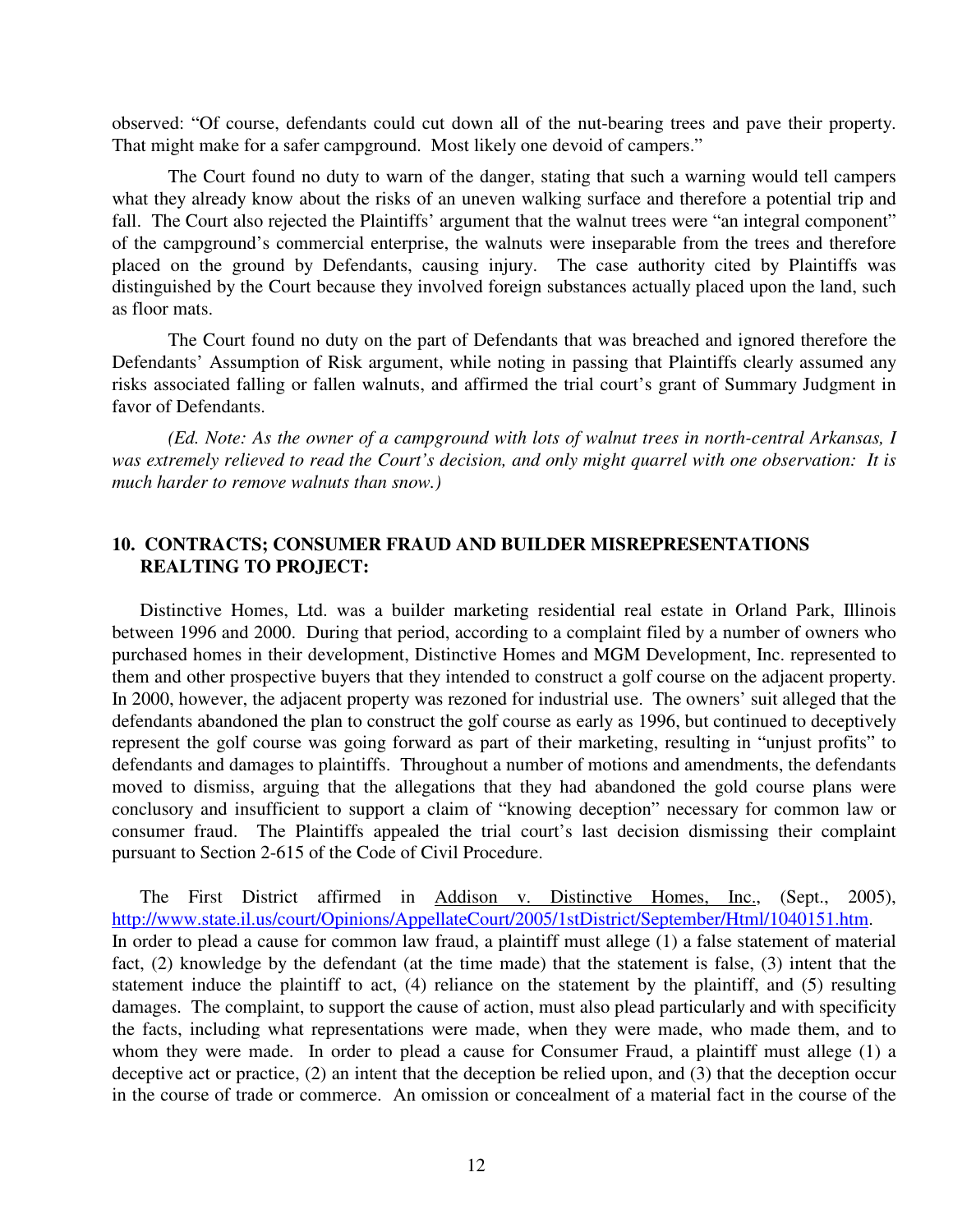observed: "Of course, defendants could cut down all of the nut-bearing trees and pave their property. That might make for a safer campground. Most likely one devoid of campers."

The Court found no duty to warn of the danger, stating that such a warning would tell campers what they already know about the risks of an uneven walking surface and therefore a potential trip and fall. The Court also rejected the Plaintiffs' argument that the walnut trees were "an integral component" of the campground's commercial enterprise, the walnuts were inseparable from the trees and therefore placed on the ground by Defendants, causing injury. The case authority cited by Plaintiffs was distinguished by the Court because they involved foreign substances actually placed upon the land, such as floor mats.

The Court found no duty on the part of Defendants that was breached and ignored therefore the Defendants' Assumption of Risk argument, while noting in passing that Plaintiffs clearly assumed any risks associated falling or fallen walnuts, and affirmed the trial court's grant of Summary Judgment in favor of Defendants.

*(Ed. Note: As the owner of a campground with lots of walnut trees in north-central Arkansas, I was extremely relieved to read the Court's decision, and only might quarrel with one observation: It is much harder to remove walnuts than snow.)* 

#### **10. CONTRACTS; CONSUMER FRAUD AND BUILDER MISREPRESENTATIONS REALTING TO PROJECT:**

Distinctive Homes, Ltd. was a builder marketing residential real estate in Orland Park, Illinois between 1996 and 2000. During that period, according to a complaint filed by a number of owners who purchased homes in their development, Distinctive Homes and MGM Development, Inc. represented to them and other prospective buyers that they intended to construct a golf course on the adjacent property. In 2000, however, the adjacent property was rezoned for industrial use. The owners' suit alleged that the defendants abandoned the plan to construct the golf course as early as 1996, but continued to deceptively represent the golf course was going forward as part of their marketing, resulting in "unjust profits" to defendants and damages to plaintiffs. Throughout a number of motions and amendments, the defendants moved to dismiss, arguing that the allegations that they had abandoned the gold course plans were conclusory and insufficient to support a claim of "knowing deception" necessary for common law or consumer fraud. The Plaintiffs appealed the trial court's last decision dismissing their complaint pursuant to Section 2-615 of the Code of Civil Procedure.

The First District affirmed in Addison v. Distinctive Homes, Inc., (Sept., 2005), http://www.state.il.us/court/Opinions/AppellateCourt/2005/1stDistrict/September/Html/1040151.htm. In order to plead a cause for common law fraud, a plaintiff must allege (1) a false statement of material fact, (2) knowledge by the defendant (at the time made) that the statement is false, (3) intent that the statement induce the plaintiff to act, (4) reliance on the statement by the plaintiff, and (5) resulting damages. The complaint, to support the cause of action, must also plead particularly and with specificity the facts, including what representations were made, when they were made, who made them, and to whom they were made. In order to plead a cause for Consumer Fraud, a plaintiff must allege (1) a deceptive act or practice, (2) an intent that the deception be relied upon, and (3) that the deception occur in the course of trade or commerce. An omission or concealment of a material fact in the course of the